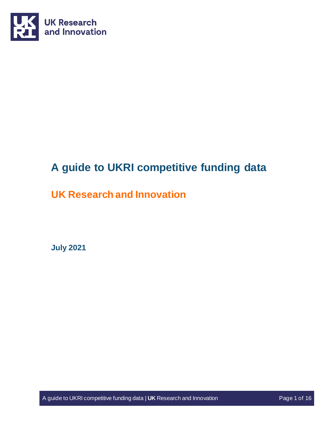

# **A guide to UKRI competitive funding data**

# <span id="page-0-0"></span>**UK Research and Innovation**

**July 2021**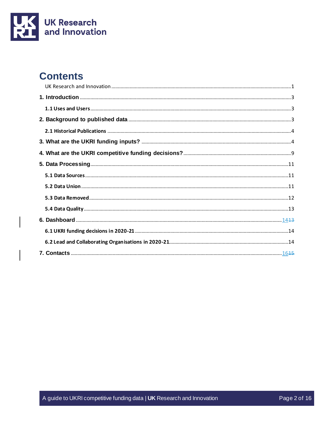

# **Contents**

 $\overline{\phantom{a}}$ 

 $\overline{\phantom{a}}$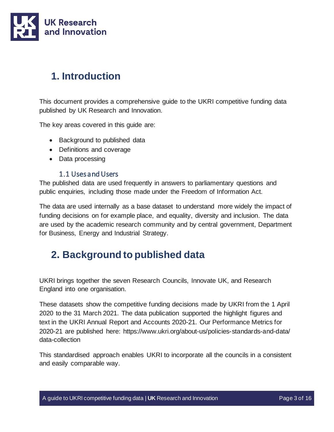

# <span id="page-2-0"></span>**1. Introduction**

This document provides a comprehensive guide to the UKRI competitive funding data published by UK Research and Innovation.

The key areas covered in this guide are:

- Background to published data
- Definitions and coverage
- Data processing

## 1.1 Uses and Users

<span id="page-2-1"></span>The published data are used frequently in answers to parliamentary questions and public enquiries, including those made under the Freedom of Information Act.

The data are used internally as a base dataset to understand more widely the impact of funding decisions on for example place, and equality, diversity and inclusion. The data are used by the academic research community and by central government, Department for Business, Energy and Industrial Strategy.

## <span id="page-2-2"></span>**2. Background to published data**

UKRI brings together the seven Research Councils, Innovate UK, and Research England into one organisation.

These datasets show the competitive funding decisions made by UKRI from the 1 April 2020 to the 31 March 2021. The data publication supported the highlight figures and text in the UKRI Annual Report and Accounts 2020-21. Our Performance Metrics for 2020-21 are published here: https://www.ukri.org/about-us/policies-standards-and-data/ data-collection

This standardised approach enables UKRI to incorporate all the councils in a consistent and easily comparable way.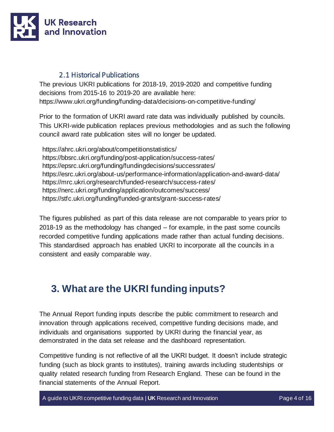

## 2.1 Historical Publications

<span id="page-3-0"></span>The previous UKRI publications for 2018-19, 2019-2020 and competitive funding decisions from 2015-16 to 2019-20 are available here: https://www.ukri.org/funding/funding-data/decisions-on-competitive-funding/

Prior to the formation of UKRI award rate data was individually published by councils. This UKRI-wide publication replaces previous methodologies and as such the following council award rate publication sites will no longer be updated.

https://ahrc.ukri.org/about/competitionstatistics/ https://bbsrc.ukri.org/funding/post-application/success-rates/ https://epsrc.ukri.org/funding/fundingdecisions/successrates/ https://esrc.ukri.org/about-us/performance-information/application-and-award-data/ https://mrc.ukri.org/research/funded-research/success-rates/ https://nerc.ukri.org/funding/application/outcomes/success/ https://stfc.ukri.org/funding/funded-grants/grant-success-rates/

The figures published as part of this data release are not comparable to years prior to 2018-19 as the methodology has changed – for example, in the past some councils recorded competitive funding applications made rather than actual funding decisions. This standardised approach has enabled UKRI to incorporate all the councils in a consistent and easily comparable way.

# <span id="page-3-1"></span>**3. What are the UKRI funding inputs?**

The Annual Report funding inputs describe the public commitment to research and innovation through applications received, competitive funding decisions made, and individuals and organisations supported by UKRI during the financial year, as demonstrated in the data set release and the dashboard representation.

Competitive funding is not reflective of all the UKRI budget. It doesn't include strategic funding (such as block grants to institutes), training awards including studentships or quality related research funding from Research England. These can be found in the financial statements of the Annual Report.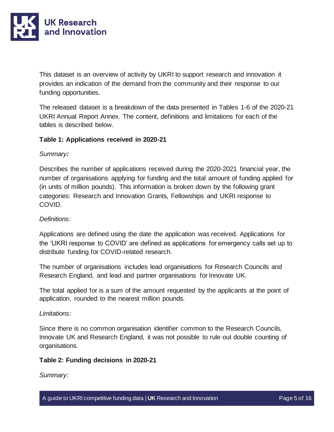

This dataset is an overview of activity by UKRI to support research and innovation it provides an indication of the demand from the community and their response to our funding opportunities.

The released dataset is a breakdown of the data presented in Tables 1-6 of the 2020-21 UKRI Annual Report Annex. The content, definitions and limitations for each of the tables is described below.

#### **Table 1: Applications received in 2020-21**

#### *Summary:*

Describes the number of applications received during the 2020-2021 financial year, the number of organisations applying for funding and the total amount of funding applied for (in units of million pounds). This information is broken down by the following grant categories: Research and Innovation Grants, Fellowships and UKRI response to COVID.

#### *Definitions:*

Applications are defined using the date the application was received. Applications for the 'UKRI response to COVID' are defined as applications for emergency calls set up to distribute funding for COVID-related research.

The number of organisations includes lead organisations for Research Councils and Research England, and lead and partner organisations for Innovate UK.

The total applied for is a sum of the amount requested by the applicants at the point of application, rounded to the nearest million pounds.

#### *Limitations:*

Since there is no common organisation identifier common to the Research Councils, Innovate UK and Research England, it was not possible to rule out double counting of organisations.

#### **Table 2: Funding decisions in 2020-21**

*Summary:*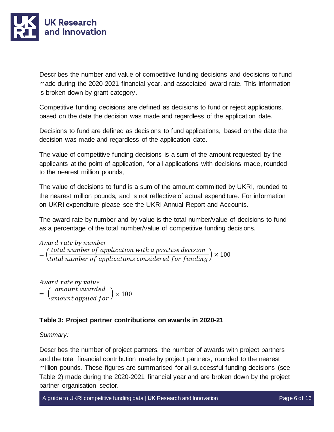

Describes the number and value of competitive funding decisions and decisions to fund made during the 2020-2021 financial year, and associated award rate. This information is broken down by grant category.

Competitive funding decisions are defined as decisions to fund or reject applications, based on the date the decision was made and regardless of the application date.

Decisions to fund are defined as decisions to fund applications, based on the date the decision was made and regardless of the application date.

The value of competitive funding decisions is a sum of the amount requested by the applicants at the point of application, for all applications with decisions made, rounded to the nearest million pounds,

The value of decisions to fund is a sum of the amount committed by UKRI, rounded to the nearest million pounds, and is not reflective of actual expenditure. For information on UKRI expenditure please see the UKRI Annual Report and Accounts.

The award rate by number and by value is the total number/value of decisions to fund as a percentage of the total number/value of competitive funding decisions.

Award rate by number = ( total number of application with a positive decision total number of applications considered for funding  $\vert \times 100$ 

Award rate by value = ( amount awarded amount applied for  $\vert \times 100$ 

#### **Table 3: Project partner contributions on awards in 2020-21**

#### *Summary:*

Describes the number of project partners, the number of awards with project partners and the total financial contribution made by project partners, rounded to the nearest million pounds. These figures are summarised for all successful funding decisions (see Table 2) made during the 2020-2021 financial year and are broken down by the project partner organisation sector.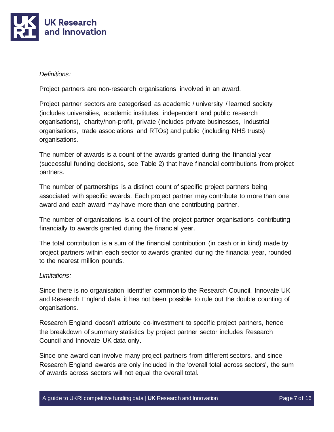

#### *Definitions:*

Project partners are non-research organisations involved in an award.

Project partner sectors are categorised as academic / university / learned society (includes universities, academic institutes, independent and public research organisations), charity/non-profit, private (includes private businesses, industrial organisations, trade associations and RTOs) and public (including NHS trusts) organisations.

The number of awards is a count of the awards granted during the financial year (successful funding decisions, see Table 2) that have financial contributions from project partners.

The number of partnerships is a distinct count of specific project partners being associated with specific awards. Each project partner may contribute to more than one award and each award may have more than one contributing partner.

The number of organisations is a count of the project partner organisations contributing financially to awards granted during the financial year.

The total contribution is a sum of the financial contribution (in cash or in kind) made by project partners within each sector to awards granted during the financial year, rounded to the nearest million pounds.

#### *Limitations:*

Since there is no organisation identifier common to the Research Council, Innovate UK and Research England data, it has not been possible to rule out the double counting of organisations.

Research England doesn't attribute co-investment to specific project partners, hence the breakdown of summary statistics by project partner sector includes Research Council and Innovate UK data only.

Since one award can involve many project partners from different sectors, and since Research England awards are only included in the 'overall total across sectors', the sum of awards across sectors will not equal the overall total.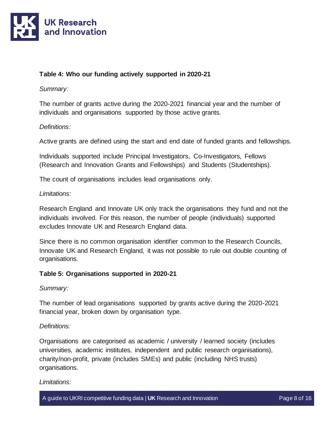

### **Table 4: Who our funding actively supported in 2020-21**

#### *Summary:*

The number of grants active during the 2020-2021 financial year and the number of individuals and organisations supported by those active grants.

#### *Definitions:*

Active grants are defined using the start and end date of funded grants and fellowships.

Individuals supported include Principal Investigators, Co-Investigators, Fellows (Research and Innovation Grants and Fellowships) and Students (Studentships).

The count of organisations includes lead organisations only.

#### *Limitations:*

Research England and Innovate UK only track the organisations they fund and not the individuals involved. For this reason, the number of people (individuals) supported excludes Innovate UK and Research England data.

Since there is no common organisation identifier common to the Research Councils, Innovate UK and Research England, it was not possible to rule out double counting of organisations.

#### **Table 5: Organisations supported in 2020-21**

*Summary:*

The number of lead organisations supported by grants active during the 2020-2021 financial year, broken down by organisation type.

#### *Definitions:*

Organisations are categorised as academic / university / learned society (includes universities, academic institutes, independent and public research organisations), charity/non-profit, private (includes SMEs) and public (including NHS trusts) organisations.

#### *Limitations:*

A guide to UKRI competitive funding data | **UK** Research and Innovation Page 8 of 16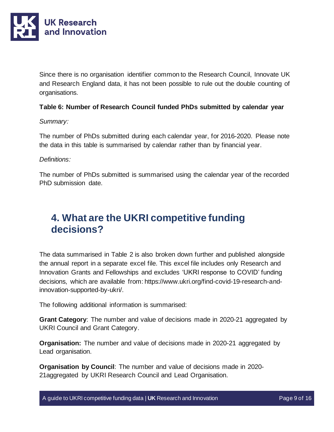

Since there is no organisation identifier common to the Research Council, Innovate UK and Research England data, it has not been possible to rule out the double counting of organisations.

#### **Table 6: Number of Research Council funded PhDs submitted by calendar year**

#### *Summary:*

The number of PhDs submitted during each calendar year, for 2016-2020. Please note the data in this table is summarised by calendar rather than by financial year.

#### *Definitions:*

The number of PhDs submitted is summarised using the calendar year of the recorded PhD submission date.

## <span id="page-8-0"></span>**4. What are the UKRI competitive funding decisions?**

The data summarised in Table 2 is also broken down further and published alongside the annual report in a separate excel file. This excel file includes only Research and Innovation Grants and Fellowships and excludes 'UKRI response to COVID' funding decisions, which are available from: https://www.ukri.org/find-covid-19-research-andinnovation-supported-by-ukri/.

The following additional information is summarised:

**Grant Category**: The number and value of decisions made in 2020-21 aggregated by UKRI Council and Grant Category.

**Organisation:** The number and value of decisions made in 2020-21 aggregated by Lead organisation.

**Organisation by Council**: The number and value of decisions made in 2020- 21aggregated by UKRI Research Council and Lead Organisation.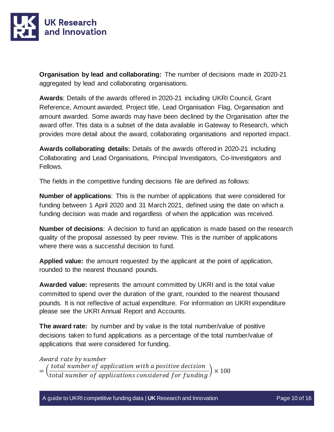

**Organisation by lead and collaborating:** The number of decisions made in 2020-21 aggregated by lead and collaborating organisations.

**Awards**: Details of the awards offered in 2020-21 including UKRI Council, Grant Reference, Amount awarded, Project title, Lead Organisation Flag, Organisation and amount awarded. Some awards may have been declined by the Organisation after the award offer. This data is a subset of the data available in Gateway to Research, which provides more detail about the award, collaborating organisations and reported impact.

**Awards collaborating details:** Details of the awards offered in 2020-21 including Collaborating and Lead Organisations, Principal Investigators, Co-Investigators and Fellows.

The fields in the competitive funding decisions file are defined as follows:

**Number of applications**: This is the number of applications that were considered for funding between 1 April 2020 and 31 March 2021, defined using the date on which a funding decision was made and regardless of when the application was received.

**Number of decisions**: A decision to fund an application is made based on the research quality of the proposal assessed by peer review. This is the number of applications where there was a successful decision to fund.

**Applied value:** the amount requested by the applicant at the point of application, rounded to the nearest thousand pounds.

**Awarded value:** represents the amount committed by UKRI and is the total value committed to spend over the duration of the grant, rounded to the nearest thousand pounds. It is not reflective of actual expenditure. For information on UKRI expenditure please see the UKRI Annual Report and Accounts.

**The award rate:** by number and by value is the total number/value of positive decisions taken to fund applications as a percentage of the total number/value of applications that were considered for funding.

Award rate by number

= ( total number of application with a positive decision total number of applications considered for funding  $\vert \times 100$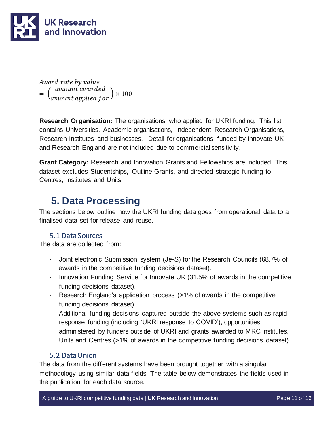

Award rate by value = ( amount awarded amount applied for  $\vert \times 100$ 

**Research Organisation:** The organisations who applied for UKRI funding. This list contains Universities, Academic organisations, Independent Research Organisations, Research Institutes and businesses. Detail for organisations funded by Innovate UK and Research England are not included due to commercial sensitivity.

**Grant Category:** Research and Innovation Grants and Fellowships are included. This dataset excludes Studentships, Outline Grants, and directed strategic funding to Centres, Institutes and Units.

# <span id="page-10-0"></span>**5. Data Processing**

The sections below outline how the UKRI funding data goes from operational data to a finalised data set for release and reuse.

## 5.1 Data Sources

<span id="page-10-1"></span>The data are collected from:

- Joint electronic Submission system (Je-S) for the Research Councils (68.7% of awards in the competitive funding decisions dataset).
- Innovation Funding Service for Innovate UK (31.5% of awards in the competitive funding decisions dataset).
- Research England's application process (>1% of awards in the competitive funding decisions dataset).
- Additional funding decisions captured outside the above systems such as rapid response funding (including 'UKRI response to COVID'), opportunities administered by funders outside of UKRI and grants awarded to MRC Institutes, Units and Centres (>1% of awards in the competitive funding decisions dataset).

## 5.2 Data Union

<span id="page-10-2"></span>The data from the different systems have been brought together with a singular methodology using similar data fields. The table below demonstrates the fields used in the publication for each data source.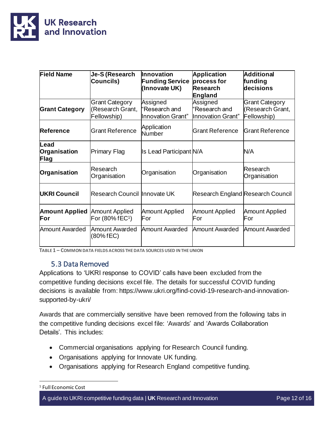

| <b>Field Name</b>            | Je-S (Research<br>Councils)                              | <b>Innovation</b><br><b>Funding Service</b><br>(Innovate UK) | <b>Application</b><br>process for<br><b>Research</b><br>England | <b>Additional</b><br>funding<br>decisions         |
|------------------------------|----------------------------------------------------------|--------------------------------------------------------------|-----------------------------------------------------------------|---------------------------------------------------|
| <b>Grant Category</b>        | <b>Grant Category</b><br>(Research Grant,<br>Fellowship) | Assigned<br>Research and<br>Innovation Grant"                | Assigned<br>"Research and<br>Innovation Grant"                  | Grant Category<br>(Research Grant,<br>Fellowship) |
| <b>Reference</b>             | <b>Grant Reference</b>                                   | Application<br>Number                                        | <b>Grant Reference</b>                                          | <b>Grant Reference</b>                            |
| Lead<br>Organisation<br>Flag | <b>Primary Flag</b>                                      | Is Lead Participant N/A                                      |                                                                 | N/A                                               |
| Organisation                 | Research<br>Organisation                                 | Organisation                                                 | Organisation                                                    | Research<br>Organisation                          |
| UKRI Council                 | Research Council Innovate UK                             |                                                              | Research England Research Council                               |                                                   |
| <b>Amount Applied</b><br>For | <b>Amount Applied</b><br>For (80% fEC <sup>1</sup> )     | <b>Amount Applied</b><br>For                                 | <b>Amount Applied</b><br>For                                    | <b>Amount Applied</b><br>For                      |
| <b>Amount Awarded</b>        | <b>Amount Awarded</b><br>(80% fEC)                       | <b>Amount Awarded</b>                                        | Amount Awarded                                                  | <b>Amount Awarded</b>                             |

**TABLE 1 – COMMON DATA FIELDS ACROSS THE DATA SOURCES USED IN THE UNION**

## 5.3 Data Removed

<span id="page-11-0"></span>Applications to 'UKRI response to COVID' calls have been excluded from the competitive funding decisions excel file. The details for successful COVID funding decisions is available from: https://www.ukri.org/find-covid-19-research-and-innovationsupported-by-ukri/

Awards that are commercially sensitive have been removed from the following tabs in the competitive funding decisions excel file: 'Awards' and 'Awards Collaboration Details'. This includes:

- Commercial organisations applying for Research Council funding.
- Organisations applying for Innovate UK funding.
- Organisations applying for Research England competitive funding.

A guide to UKRI competitive funding data | UK Research and Innovation Page 12 of 16

<sup>1</sup> Full Economic Cost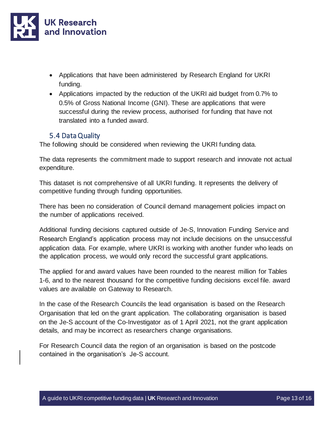

- Applications that have been administered by Research England for UKRI funding.
- Applications impacted by the reduction of the UKRI aid budget from 0.7% to 0.5% of Gross National Income (GNI). These are applications that were successful during the review process, authorised for funding that have not translated into a funded award.

## 5.4 Data Quality

<span id="page-12-0"></span>The following should be considered when reviewing the UKRI funding data.

The data represents the commitment made to support research and innovate not actual expenditure.

This dataset is not comprehensive of all UKRI funding. It represents the delivery of competitive funding through funding opportunities.

There has been no consideration of Council demand management policies impact on the number of applications received.

Additional funding decisions captured outside of Je-S, Innovation Funding Service and Research England's application process may not include decisions on the unsuccessful application data. For example, where UKRI is working with another funder who leads on the application process, we would only record the successful grant applications.

The applied for and award values have been rounded to the nearest million for Tables 1-6, and to the nearest thousand for the competitive funding decisions excel file. award values are available on Gateway to Research.

In the case of the Research Councils the lead organisation is based on the Research Organisation that led on the grant application. The collaborating organisation is based on the Je-S account of the Co-Investigator as of 1 April 2021, not the grant application details, and may be incorrect as researchers change organisations.

For Research Council data the region of an organisation is based on the postcode contained in the organisation's Je-S account.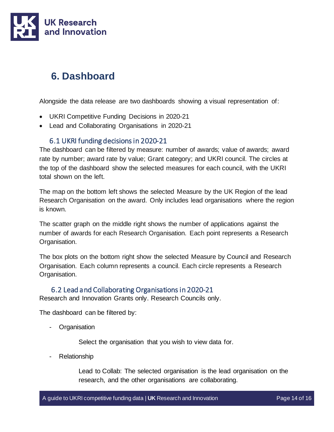

# <span id="page-13-0"></span>**6. Dashboard**

Alongside the data release are two dashboards showing a visual representation of:

- UKRI Competitive Funding Decisions in 2020-21
- Lead and Collaborating Organisations in 2020-21

## 6.1 UKRI funding decisions in 2020-21

<span id="page-13-1"></span>The dashboard can be filtered by measure: number of awards; value of awards; award rate by number; award rate by value; Grant category; and UKRI council. The circles at the top of the dashboard show the selected measures for each council, with the UKRI total shown on the left.

The map on the bottom left shows the selected Measure by the UK Region of the lead Research Organisation on the award. Only includes lead organisations where the region is known.

The scatter graph on the middle right shows the number of applications against the number of awards for each Research Organisation. Each point represents a Research Organisation.

The box plots on the bottom right show the selected Measure by Council and Research Organisation. Each column represents a council. Each circle represents a Research Organisation.

## 6.2 Lead and Collaborating Organisations in 2020-21

<span id="page-13-2"></span>Research and Innovation Grants only. Research Councils only.

The dashboard can be filtered by:

- Organisation

Select the organisation that you wish to view data for.

**Relationship** 

Lead to Collab: The selected organisation is the lead organisation on the research, and the other organisations are collaborating.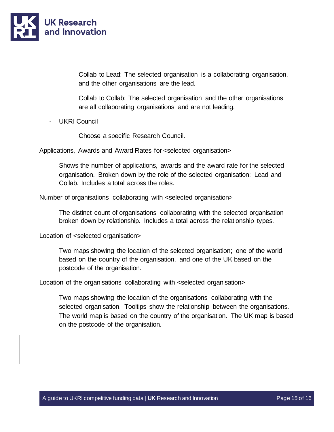

Collab to Lead: The selected organisation is a collaborating organisation, and the other organisations are the lead.

Collab to Collab: The selected organisation and the other organisations are all collaborating organisations and are not leading.

- UKRI Council

Choose a specific Research Council.

Applications, Awards and Award Rates for <selected organisation>

Shows the number of applications, awards and the award rate for the selected organisation. Broken down by the role of the selected organisation: Lead and Collab. Includes a total across the roles.

Number of organisations collaborating with <selected organisation>

The distinct count of organisations collaborating with the selected organisation broken down by relationship. Includes a total across the relationship types.

Location of <selected organisation>

Two maps showing the location of the selected organisation; one of the world based on the country of the organisation, and one of the UK based on the postcode of the organisation.

Location of the organisations collaborating with <selected organisation>

Two maps showing the location of the organisations collaborating with the selected organisation. Tooltips show the relationship between the organisations. The world map is based on the country of the organisation. The UK map is based on the postcode of the organisation.